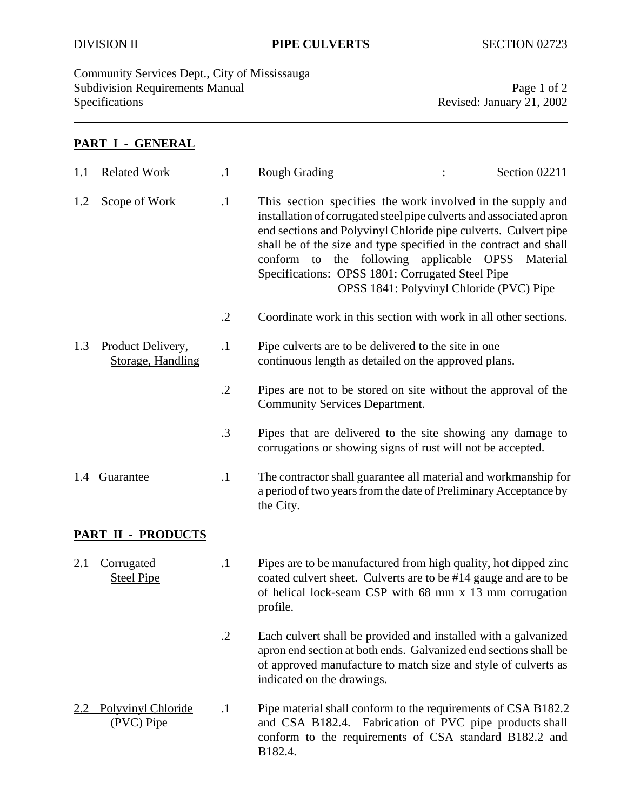Community Services Dept., City of Mississauga Subdivision Requirements Manual Page 1 of 2<br>Specifications Page 1 of 2<br>Revised: January 21, 2002

Revised: January 21, 2002

## **PART I - GENERAL**

| 1.1 | <b>Related Work</b>                    | $\cdot$ 1  | <b>Rough Grading</b>                                                                                                                                                                                                                                                                                                                                                      | Section 02211                                        |
|-----|----------------------------------------|------------|---------------------------------------------------------------------------------------------------------------------------------------------------------------------------------------------------------------------------------------------------------------------------------------------------------------------------------------------------------------------------|------------------------------------------------------|
| 1.2 | Scope of Work                          | $\cdot$    | This section specifies the work involved in the supply and<br>installation of corrugated steel pipe culverts and associated apron<br>end sections and Polyvinyl Chloride pipe culverts. Culvert pipe<br>shall be of the size and type specified in the contract and shall<br>conform to the following applicable OPSS<br>Specifications: OPSS 1801: Corrugated Steel Pipe | Material<br>OPSS 1841: Polyvinyl Chloride (PVC) Pipe |
|     |                                        | $\cdot$ .2 | Coordinate work in this section with work in all other sections.                                                                                                                                                                                                                                                                                                          |                                                      |
| 1.3 | Product Delivery,<br>Storage, Handling | $\cdot$ 1  | Pipe culverts are to be delivered to the site in one<br>continuous length as detailed on the approved plans.                                                                                                                                                                                                                                                              |                                                      |
|     |                                        | $\cdot$ .2 | Pipes are not to be stored on site without the approval of the<br><b>Community Services Department.</b>                                                                                                                                                                                                                                                                   |                                                      |
|     |                                        | $\cdot$ 3  | Pipes that are delivered to the site showing any damage to<br>corrugations or showing signs of rust will not be accepted.                                                                                                                                                                                                                                                 |                                                      |
| 1.4 | <b>Guarantee</b>                       | $\cdot$    | The contractor shall guarantee all material and workmanship for<br>a period of two years from the date of Preliminary Acceptance by<br>the City.                                                                                                                                                                                                                          |                                                      |
|     | <b>PART II - PRODUCTS</b>              |            |                                                                                                                                                                                                                                                                                                                                                                           |                                                      |
|     | Corrugated<br><b>Steel Pipe</b>        | $\cdot$ 1  | Pipes are to be manufactured from high quality, hot dipped zinc<br>coated culvert sheet. Culverts are to be #14 gauge and are to be<br>of helical lock-seam CSP with 68 mm x 13 mm corrugation<br>profile.                                                                                                                                                                |                                                      |
|     |                                        | $\cdot$ .2 | Each culvert shall be provided and installed with a galvanized<br>apron end section at both ends. Galvanized end sections shall be<br>of approved manufacture to match size and style of culverts as<br>indicated on the drawings.                                                                                                                                        |                                                      |
|     | Polyvinyl Chloride<br>(PVC) Pipe       | $\cdot$    | Pipe material shall conform to the requirements of CSA B182.2<br>and CSA B182.4.<br>conform to the requirements of CSA standard B182.2 and<br>B182.4.                                                                                                                                                                                                                     | Fabrication of PVC pipe products shall               |